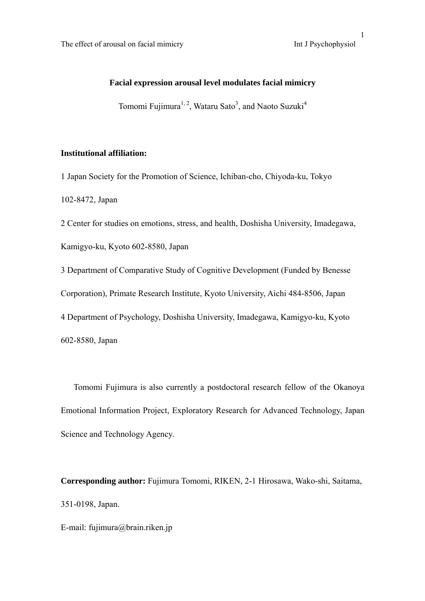# **Facial expression arousal level modulates facial mimicry**

Tomomi Fujimura<sup>1, 2</sup>, Wataru Sato<sup>3</sup>, and Naoto Suzuki<sup>4</sup>

## **Institutional affiliation:**

1 Japan Society for the Promotion of Science, Ichiban-cho, Chiyoda-ku, Tokyo 102-8472, Japan

2 Center for studies on emotions, stress, and health, Doshisha University, Imadegawa,

Kamigyo-ku, Kyoto 602-8580, Japan

3 Department of Comparative Study of Cognitive Development (Funded by Benesse Corporation), Primate Research Institute, Kyoto University, Aichi 484-8506, Japan 4 Department of Psychology, Doshisha University, Imadegawa, Kamigyo-ku, Kyoto 602-8580, Japan

Tomomi Fujimura is also currently a postdoctoral research fellow of the Okanoya Emotional Information Project, Exploratory Research for Advanced Technology, Japan Science and Technology Agency.

**Corresponding author:** Fujimura Tomomi, RIKEN, 2-1 Hirosawa, Wako-shi, Saitama, 351-0198, Japan.

E-mail: fujimura@brain.riken.jp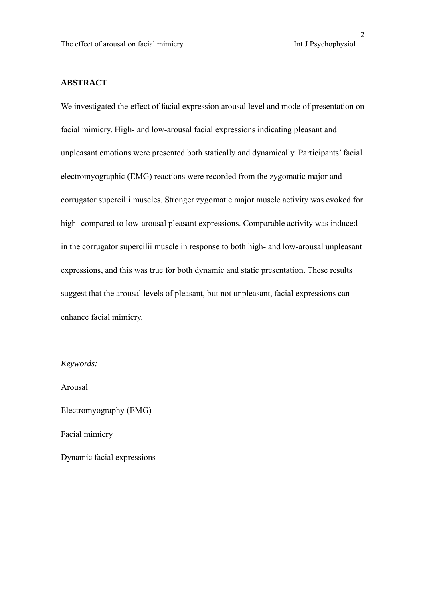# **ABSTRACT**

We investigated the effect of facial expression arousal level and mode of presentation on facial mimicry. High- and low-arousal facial expressions indicating pleasant and unpleasant emotions were presented both statically and dynamically. Participants' facial electromyographic (EMG) reactions were recorded from the zygomatic major and corrugator supercilii muscles. Stronger zygomatic major muscle activity was evoked for high- compared to low-arousal pleasant expressions. Comparable activity was induced in the corrugator supercilii muscle in response to both high- and low-arousal unpleasant expressions, and this was true for both dynamic and static presentation. These results suggest that the arousal levels of pleasant, but not unpleasant, facial expressions can enhance facial mimicry.

*Keywords:* 

Arousal

Electromyography (EMG)

Facial mimicry

Dynamic facial expressions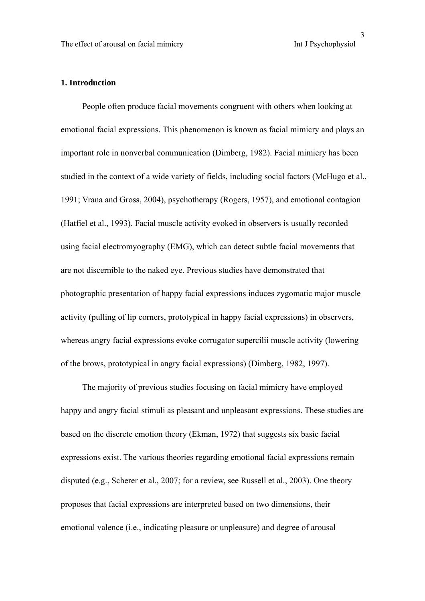### **1. Introduction**

 People often produce facial movements congruent with others when looking at emotional facial expressions. This phenomenon is known as facial mimicry and plays an important role in nonverbal communication (Dimberg, 1982). Facial mimicry has been studied in the context of a wide variety of fields, including social factors (McHugo et al., 1991; Vrana and Gross, 2004), psychotherapy (Rogers, 1957), and emotional contagion (Hatfiel et al., 1993). Facial muscle activity evoked in observers is usually recorded using facial electromyography (EMG), which can detect subtle facial movements that are not discernible to the naked eye. Previous studies have demonstrated that photographic presentation of happy facial expressions induces zygomatic major muscle activity (pulling of lip corners, prototypical in happy facial expressions) in observers, whereas angry facial expressions evoke corrugator supercilii muscle activity (lowering of the brows, prototypical in angry facial expressions) (Dimberg, 1982, 1997).

 The majority of previous studies focusing on facial mimicry have employed happy and angry facial stimuli as pleasant and unpleasant expressions. These studies are based on the discrete emotion theory (Ekman, 1972) that suggests six basic facial expressions exist. The various theories regarding emotional facial expressions remain disputed (e.g., Scherer et al., 2007; for a review, see Russell et al., 2003). One theory proposes that facial expressions are interpreted based on two dimensions, their emotional valence (i.e., indicating pleasure or unpleasure) and degree of arousal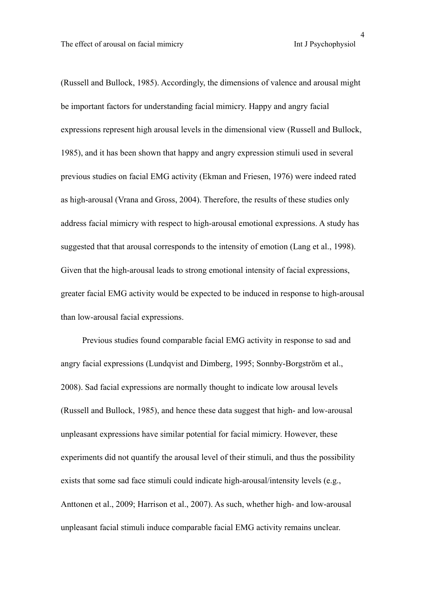4

(Russell and Bullock, 1985). Accordingly, the dimensions of valence and arousal might be important factors for understanding facial mimicry. Happy and angry facial expressions represent high arousal levels in the dimensional view (Russell and Bullock, 1985), and it has been shown that happy and angry expression stimuli used in several previous studies on facial EMG activity (Ekman and Friesen, 1976) were indeed rated as high-arousal (Vrana and Gross, 2004). Therefore, the results of these studies only address facial mimicry with respect to high-arousal emotional expressions. A study has suggested that that arousal corresponds to the intensity of emotion (Lang et al., 1998). Given that the high-arousal leads to strong emotional intensity of facial expressions, greater facial EMG activity would be expected to be induced in response to high-arousal than low-arousal facial expressions.

 Previous studies found comparable facial EMG activity in response to sad and angry facial expressions (Lundqvist and Dimberg, 1995; Sonnby-Borgström et al., 2008). Sad facial expressions are normally thought to indicate low arousal levels (Russell and Bullock, 1985), and hence these data suggest that high- and low-arousal unpleasant expressions have similar potential for facial mimicry. However, these experiments did not quantify the arousal level of their stimuli, and thus the possibility exists that some sad face stimuli could indicate high-arousal/intensity levels (e.g., Anttonen et al., 2009; Harrison et al., 2007). As such, whether high- and low-arousal unpleasant facial stimuli induce comparable facial EMG activity remains unclear.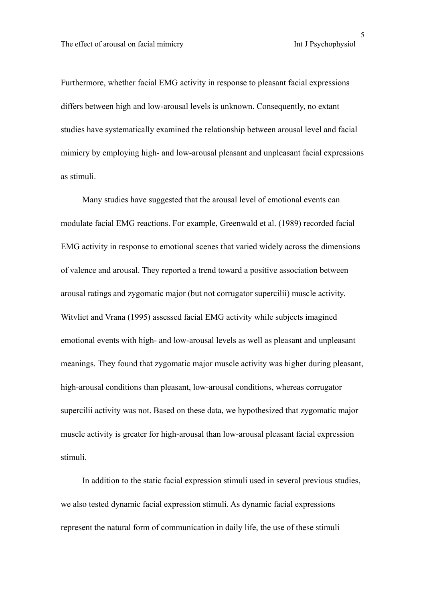Furthermore, whether facial EMG activity in response to pleasant facial expressions differs between high and low-arousal levels is unknown. Consequently, no extant studies have systematically examined the relationship between arousal level and facial mimicry by employing high- and low-arousal pleasant and unpleasant facial expressions as stimuli.

 Many studies have suggested that the arousal level of emotional events can modulate facial EMG reactions. For example, Greenwald et al. (1989) recorded facial EMG activity in response to emotional scenes that varied widely across the dimensions of valence and arousal. They reported a trend toward a positive association between arousal ratings and zygomatic major (but not corrugator supercilii) muscle activity. Witvliet and Vrana (1995) assessed facial EMG activity while subjects imagined emotional events with high- and low-arousal levels as well as pleasant and unpleasant meanings. They found that zygomatic major muscle activity was higher during pleasant, high-arousal conditions than pleasant, low-arousal conditions, whereas corrugator supercilii activity was not. Based on these data, we hypothesized that zygomatic major muscle activity is greater for high-arousal than low-arousal pleasant facial expression stimuli.

 In addition to the static facial expression stimuli used in several previous studies, we also tested dynamic facial expression stimuli. As dynamic facial expressions represent the natural form of communication in daily life, the use of these stimuli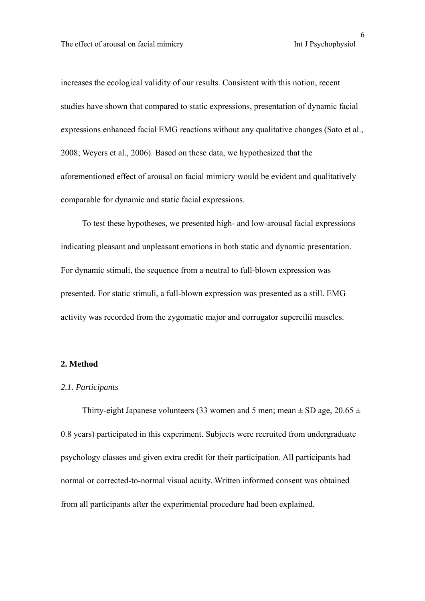increases the ecological validity of our results. Consistent with this notion, recent studies have shown that compared to static expressions, presentation of dynamic facial expressions enhanced facial EMG reactions without any qualitative changes (Sato et al., 2008; Weyers et al., 2006). Based on these data, we hypothesized that the aforementioned effect of arousal on facial mimicry would be evident and qualitatively comparable for dynamic and static facial expressions.

 To test these hypotheses, we presented high- and low-arousal facial expressions indicating pleasant and unpleasant emotions in both static and dynamic presentation. For dynamic stimuli, the sequence from a neutral to full-blown expression was presented. For static stimuli, a full-blown expression was presented as a still. EMG activity was recorded from the zygomatic major and corrugator supercilii muscles.

#### **2. Method**

### *2.1. Participants*

Thirty-eight Japanese volunteers (33 women and 5 men; mean  $\pm$  SD age, 20.65  $\pm$ 0.8 years) participated in this experiment. Subjects were recruited from undergraduate psychology classes and given extra credit for their participation. All participants had normal or corrected-to-normal visual acuity. Written informed consent was obtained from all participants after the experimental procedure had been explained.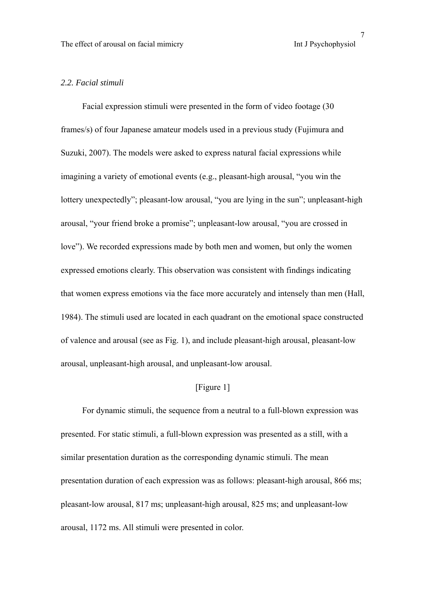### *2.2. Facial stimuli*

 Facial expression stimuli were presented in the form of video footage (30 frames/s) of four Japanese amateur models used in a previous study (Fujimura and Suzuki, 2007). The models were asked to express natural facial expressions while imagining a variety of emotional events (e.g., pleasant-high arousal, "you win the lottery unexpectedly"; pleasant-low arousal, "you are lying in the sun"; unpleasant-high arousal, "your friend broke a promise"; unpleasant-low arousal, "you are crossed in love"). We recorded expressions made by both men and women, but only the women expressed emotions clearly. This observation was consistent with findings indicating that women express emotions via the face more accurately and intensely than men (Hall, 1984). The stimuli used are located in each quadrant on the emotional space constructed of valence and arousal (see as Fig. 1), and include pleasant-high arousal, pleasant-low arousal, unpleasant-high arousal, and unpleasant-low arousal.

## [Figure 1]

 For dynamic stimuli, the sequence from a neutral to a full-blown expression was presented. For static stimuli, a full-blown expression was presented as a still, with a similar presentation duration as the corresponding dynamic stimuli. The mean presentation duration of each expression was as follows: pleasant-high arousal, 866 ms; pleasant-low arousal, 817 ms; unpleasant-high arousal, 825 ms; and unpleasant-low arousal, 1172 ms. All stimuli were presented in color.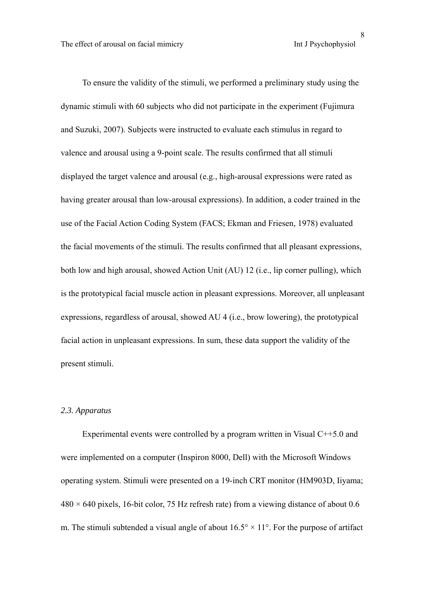To ensure the validity of the stimuli, we performed a preliminary study using the dynamic stimuli with 60 subjects who did not participate in the experiment (Fujimura and Suzuki, 2007). Subjects were instructed to evaluate each stimulus in regard to valence and arousal using a 9-point scale. The results confirmed that all stimuli displayed the target valence and arousal (e.g., high-arousal expressions were rated as having greater arousal than low-arousal expressions). In addition, a coder trained in the use of the Facial Action Coding System (FACS; Ekman and Friesen, 1978) evaluated the facial movements of the stimuli. The results confirmed that all pleasant expressions, both low and high arousal, showed Action Unit (AU) 12 (i.e., lip corner pulling), which is the prototypical facial muscle action in pleasant expressions. Moreover, all unpleasant expressions, regardless of arousal, showed AU 4 (i.e., brow lowering), the prototypical facial action in unpleasant expressions. In sum, these data support the validity of the present stimuli.

#### *2.3. Apparatus*

 Experimental events were controlled by a program written in Visual C++5.0 and were implemented on a computer (Inspiron 8000, Dell) with the Microsoft Windows operating system. Stimuli were presented on a 19-inch CRT monitor (HM903D, Iiyama;  $480 \times 640$  pixels, 16-bit color, 75 Hz refresh rate) from a viewing distance of about 0.6 m. The stimuli subtended a visual angle of about  $16.5^{\circ} \times 11^{\circ}$ . For the purpose of artifact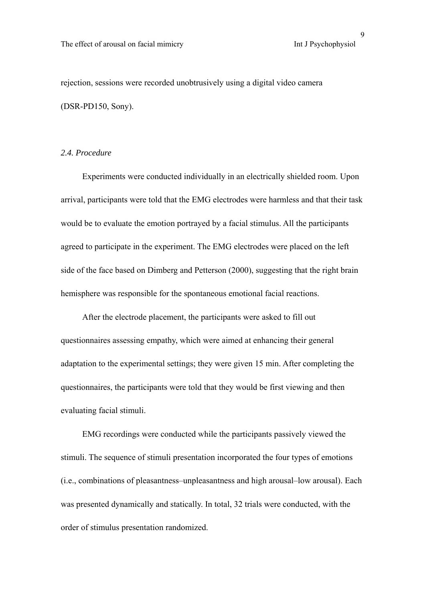rejection, sessions were recorded unobtrusively using a digital video camera (DSR-PD150, Sony).

#### *2.4. Procedure*

 Experiments were conducted individually in an electrically shielded room. Upon arrival, participants were told that the EMG electrodes were harmless and that their task would be to evaluate the emotion portrayed by a facial stimulus. All the participants agreed to participate in the experiment. The EMG electrodes were placed on the left side of the face based on Dimberg and Petterson (2000), suggesting that the right brain hemisphere was responsible for the spontaneous emotional facial reactions.

 After the electrode placement, the participants were asked to fill out questionnaires assessing empathy, which were aimed at enhancing their general adaptation to the experimental settings; they were given 15 min. After completing the questionnaires, the participants were told that they would be first viewing and then evaluating facial stimuli.

 EMG recordings were conducted while the participants passively viewed the stimuli. The sequence of stimuli presentation incorporated the four types of emotions (i.e., combinations of pleasantness–unpleasantness and high arousal–low arousal). Each was presented dynamically and statically. In total, 32 trials were conducted, with the order of stimulus presentation randomized.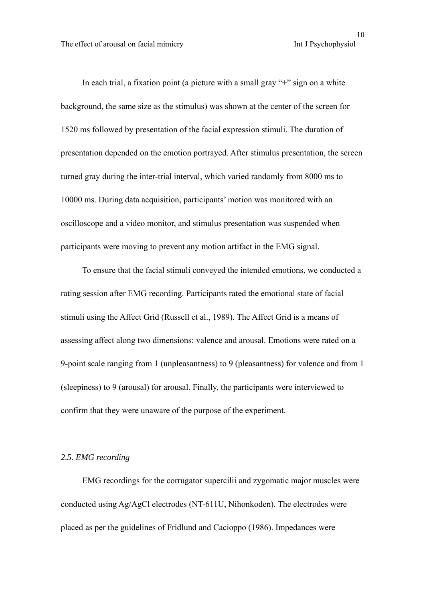10<br>Int J Psychophysiol

In each trial, a fixation point (a picture with a small gray "+" sign on a white background, the same size as the stimulus) was shown at the center of the screen for 1520 ms followed by presentation of the facial expression stimuli. The duration of presentation depended on the emotion portrayed. After stimulus presentation, the screen turned gray during the inter-trial interval, which varied randomly from 8000 ms to 10000 ms. During data acquisition, participants' motion was monitored with an oscilloscope and a video monitor, and stimulus presentation was suspended when participants were moving to prevent any motion artifact in the EMG signal.

 To ensure that the facial stimuli conveyed the intended emotions, we conducted a rating session after EMG recording. Participants rated the emotional state of facial stimuli using the Affect Grid (Russell et al., 1989). The Affect Grid is a means of assessing affect along two dimensions: valence and arousal. Emotions were rated on a 9-point scale ranging from 1 (unpleasantness) to 9 (pleasantness) for valence and from 1 (sleepiness) to 9 (arousal) for arousal. Finally, the participants were interviewed to confirm that they were unaware of the purpose of the experiment.

### *2.5. EMG recording*

 EMG recordings for the corrugator supercilii and zygomatic major muscles were conducted using Ag/AgCl electrodes (NT-611U, Nihonkoden). The electrodes were placed as per the guidelines of Fridlund and Cacioppo (1986). Impedances were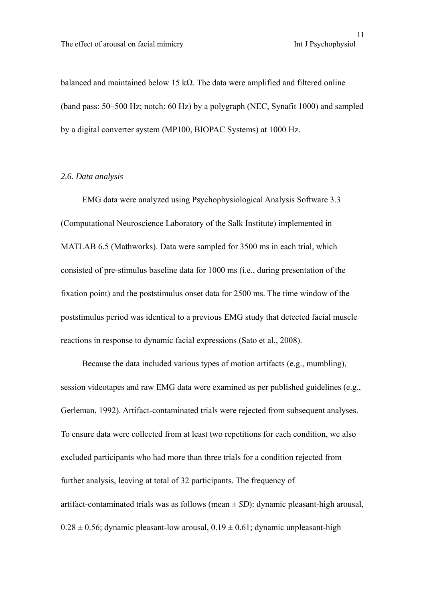```
<sup>11</sup><br>Int J Psychophysiol
```
balanced and maintained below 15 kΩ. The data were amplified and filtered online (band pass: 50–500 Hz; notch: 60 Hz) by a polygraph (NEC, Synafit 1000) and sampled by a digital converter system (MP100, BIOPAC Systems) at 1000 Hz.

### *2.6. Data analysis*

 EMG data were analyzed using Psychophysiological Analysis Software 3.3 (Computational Neuroscience Laboratory of the Salk Institute) implemented in MATLAB 6.5 (Mathworks). Data were sampled for 3500 ms in each trial, which consisted of pre-stimulus baseline data for 1000 ms (i.e., during presentation of the fixation point) and the poststimulus onset data for 2500 ms. The time window of the poststimulus period was identical to a previous EMG study that detected facial muscle reactions in response to dynamic facial expressions (Sato et al., 2008).

 Because the data included various types of motion artifacts (e.g., mumbling), session videotapes and raw EMG data were examined as per published guidelines (e.g., Gerleman, 1992). Artifact-contaminated trials were rejected from subsequent analyses. To ensure data were collected from at least two repetitions for each condition, we also excluded participants who had more than three trials for a condition rejected from further analysis, leaving at total of 32 participants. The frequency of artifact-contaminated trials was as follows (mean ± *SD*): dynamic pleasant-high arousal,  $0.28 \pm 0.56$ ; dynamic pleasant-low arousal,  $0.19 \pm 0.61$ ; dynamic unpleasant-high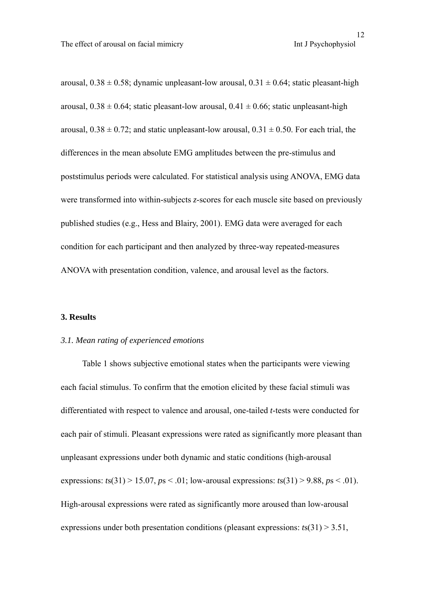arousal,  $0.38 \pm 0.58$ ; dynamic unpleasant-low arousal,  $0.31 \pm 0.64$ ; static pleasant-high arousal,  $0.38 \pm 0.64$ ; static pleasant-low arousal,  $0.41 \pm 0.66$ ; static unpleasant-high arousal,  $0.38 \pm 0.72$ ; and static unpleasant-low arousal,  $0.31 \pm 0.50$ . For each trial, the differences in the mean absolute EMG amplitudes between the pre-stimulus and poststimulus periods were calculated. For statistical analysis using ANOVA, EMG data were transformed into within-subjects *z*-scores for each muscle site based on previously published studies (e.g., Hess and Blairy, 2001). EMG data were averaged for each condition for each participant and then analyzed by three-way repeated-measures ANOVA with presentation condition, valence, and arousal level as the factors.

#### **3. Results**

#### *3.1. Mean rating of experienced emotions*

Table 1 shows subjective emotional states when the participants were viewing each facial stimulus. To confirm that the emotion elicited by these facial stimuli was differentiated with respect to valence and arousal, one-tailed *t*-tests were conducted for each pair of stimuli. Pleasant expressions were rated as significantly more pleasant than unpleasant expressions under both dynamic and static conditions (high-arousal expressions:  $t s(31) > 15.07$ ,  $p s < .01$ ; low-arousal expressions:  $t s(31) > 9.88$ ,  $p s < .01$ ). High-arousal expressions were rated as significantly more aroused than low-arousal expressions under both presentation conditions (pleasant expressions: *t*s(31) > 3.51,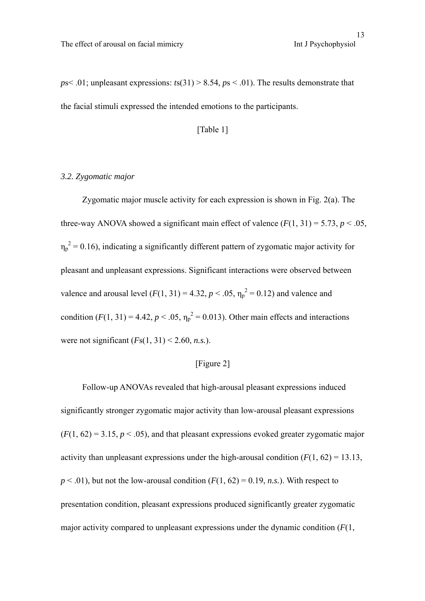$p$ s< .01; unpleasant expressions:  $t$ s(31) > 8.54,  $p$ s < .01). The results demonstrate that the facial stimuli expressed the intended emotions to the participants.

#### [Table 1]

### *3.2. Zygomatic major*

 Zygomatic major muscle activity for each expression is shown in Fig. 2(a). The three-way ANOVA showed a significant main effect of valence  $(F(1, 31) = 5.73, p < .05,$  $\eta_p^2$  = 0.16), indicating a significantly different pattern of zygomatic major activity for pleasant and unpleasant expressions. Significant interactions were observed between valence and arousal level  $(F(1, 31) = 4.32, p < .05, \eta_p^2 = 0.12)$  and valence and condition  $(F(1, 31)) = 4.42$ ,  $p < .05$ ,  $\eta_p^2 = 0.013$ ). Other main effects and interactions were not significant  $(Fs(1, 31) < 2.60, n.s.).$ 

### [Figure 2]

 Follow-up ANOVAs revealed that high-arousal pleasant expressions induced significantly stronger zygomatic major activity than low-arousal pleasant expressions  $(F(1, 62) = 3.15, p < .05)$ , and that pleasant expressions evoked greater zygomatic major activity than unpleasant expressions under the high-arousal condition  $(F(1, 62) = 13.13)$ ,  $p < .01$ ), but not the low-arousal condition  $(F(1, 62) = 0.19, n.s.)$ . With respect to presentation condition, pleasant expressions produced significantly greater zygomatic major activity compared to unpleasant expressions under the dynamic condition (*F*(1,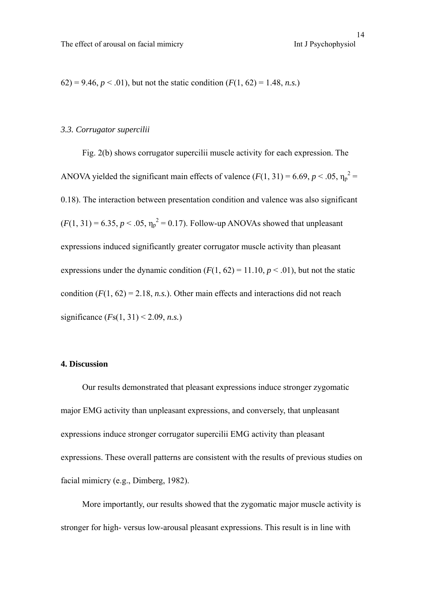62) = 9.46,  $p < .01$ ), but not the static condition  $(F(1, 62) = 1.48, n.s.)$ 

## *3.3. Corrugator supercilii*

 Fig. 2(b) shows corrugator supercilii muscle activity for each expression. The ANOVA yielded the significant main effects of valence  $(F(1, 31) = 6.69, p < .05, \eta_p^2 =$ 0.18). The interaction between presentation condition and valence was also significant  $(F(1, 31) = 6.35, p < .05, \eta_p^2 = 0.17)$ . Follow-up ANOVAs showed that unpleasant expressions induced significantly greater corrugator muscle activity than pleasant expressions under the dynamic condition  $(F(1, 62) = 11.10, p < .01)$ , but not the static condition  $(F(1, 62) = 2.18, n.s.)$ . Other main effects and interactions did not reach significance (*F*s(1, 31) < 2.09, *n.s.*)

### **4. Discussion**

 Our results demonstrated that pleasant expressions induce stronger zygomatic major EMG activity than unpleasant expressions, and conversely, that unpleasant expressions induce stronger corrugator supercilii EMG activity than pleasant expressions. These overall patterns are consistent with the results of previous studies on facial mimicry (e.g., Dimberg, 1982).

 More importantly, our results showed that the zygomatic major muscle activity is stronger for high- versus low-arousal pleasant expressions. This result is in line with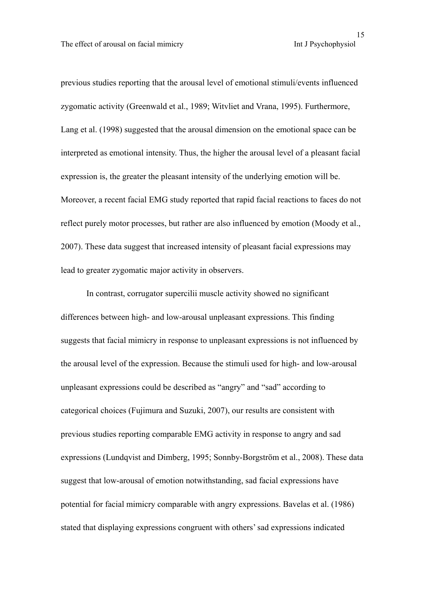previous studies reporting that the arousal level of emotional stimuli/events influenced zygomatic activity (Greenwald et al., 1989; Witvliet and Vrana, 1995). Furthermore, Lang et al. (1998) suggested that the arousal dimension on the emotional space can be interpreted as emotional intensity. Thus, the higher the arousal level of a pleasant facial expression is, the greater the pleasant intensity of the underlying emotion will be. Moreover, a recent facial EMG study reported that rapid facial reactions to faces do not reflect purely motor processes, but rather are also influenced by emotion (Moody et al., 2007). These data suggest that increased intensity of pleasant facial expressions may lead to greater zygomatic major activity in observers.

 In contrast, corrugator supercilii muscle activity showed no significant differences between high- and low-arousal unpleasant expressions. This finding suggests that facial mimicry in response to unpleasant expressions is not influenced by the arousal level of the expression. Because the stimuli used for high- and low-arousal unpleasant expressions could be described as "angry" and "sad" according to categorical choices (Fujimura and Suzuki, 2007), our results are consistent with previous studies reporting comparable EMG activity in response to angry and sad expressions (Lundqvist and Dimberg, 1995; Sonnby-Borgström et al., 2008). These data suggest that low-arousal of emotion notwithstanding, sad facial expressions have potential for facial mimicry comparable with angry expressions. Bavelas et al. (1986) stated that displaying expressions congruent with others' sad expressions indicated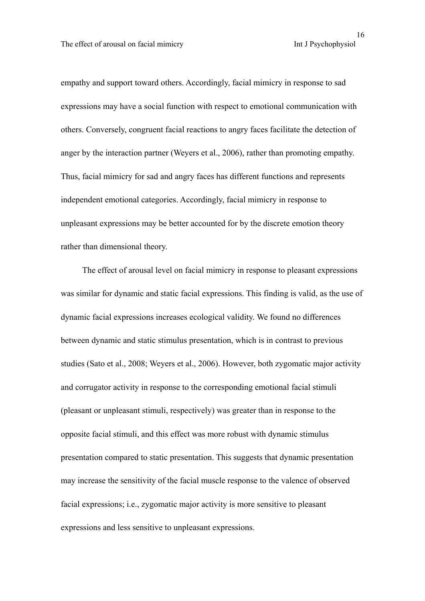empathy and support toward others. Accordingly, facial mimicry in response to sad expressions may have a social function with respect to emotional communication with others. Conversely, congruent facial reactions to angry faces facilitate the detection of anger by the interaction partner (Weyers et al., 2006), rather than promoting empathy. Thus, facial mimicry for sad and angry faces has different functions and represents independent emotional categories. Accordingly, facial mimicry in response to unpleasant expressions may be better accounted for by the discrete emotion theory rather than dimensional theory.

 The effect of arousal level on facial mimicry in response to pleasant expressions was similar for dynamic and static facial expressions. This finding is valid, as the use of dynamic facial expressions increases ecological validity. We found no differences between dynamic and static stimulus presentation, which is in contrast to previous studies (Sato et al., 2008; Weyers et al., 2006). However, both zygomatic major activity and corrugator activity in response to the corresponding emotional facial stimuli (pleasant or unpleasant stimuli, respectively) was greater than in response to the opposite facial stimuli, and this effect was more robust with dynamic stimulus presentation compared to static presentation. This suggests that dynamic presentation may increase the sensitivity of the facial muscle response to the valence of observed facial expressions; i.e., zygomatic major activity is more sensitive to pleasant expressions and less sensitive to unpleasant expressions.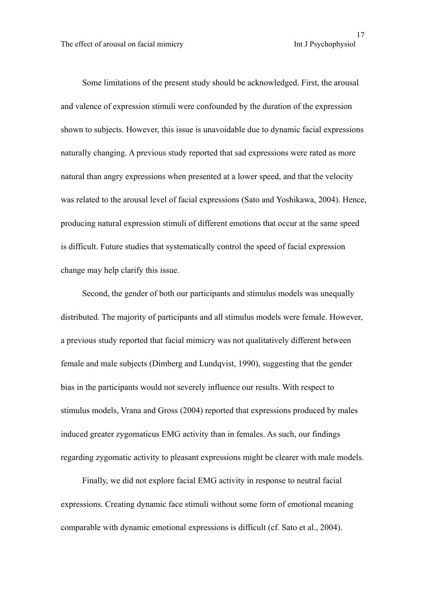Some limitations of the present study should be acknowledged. First, the arousal and valence of expression stimuli were confounded by the duration of the expression shown to subjects. However, this issue is unavoidable due to dynamic facial expressions naturally changing. A previous study reported that sad expressions were rated as more natural than angry expressions when presented at a lower speed, and that the velocity was related to the arousal level of facial expressions (Sato and Yoshikawa, 2004). Hence, producing natural expression stimuli of different emotions that occur at the same speed is difficult. Future studies that systematically control the speed of facial expression change may help clarify this issue.

 Second, the gender of both our participants and stimulus models was unequally distributed. The majority of participants and all stimulus models were female. However, a previous study reported that facial mimicry was not qualitatively different between female and male subjects (Dimberg and Lundqvist, 1990), suggesting that the gender bias in the participants would not severely influence our results. With respect to stimulus models, Vrana and Gross (2004) reported that expressions produced by males induced greater zygomaticus EMG activity than in females. As such, our findings regarding zygomatic activity to pleasant expressions might be clearer with male models.

 Finally, we did not explore facial EMG activity in response to neutral facial expressions. Creating dynamic face stimuli without some form of emotional meaning comparable with dynamic emotional expressions is difficult (cf. Sato et al., 2004).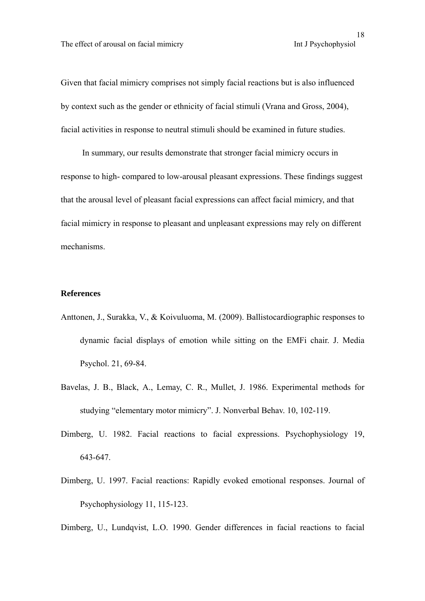Given that facial mimicry comprises not simply facial reactions but is also influenced by context such as the gender or ethnicity of facial stimuli (Vrana and Gross, 2004), facial activities in response to neutral stimuli should be examined in future studies.

 In summary, our results demonstrate that stronger facial mimicry occurs in response to high- compared to low-arousal pleasant expressions. These findings suggest that the arousal level of pleasant facial expressions can affect facial mimicry, and that facial mimicry in response to pleasant and unpleasant expressions may rely on different mechanisms.

#### **References**

- Anttonen, J., Surakka, V., & Koivuluoma, M. (2009). Ballistocardiographic responses to dynamic facial displays of emotion while sitting on the EMFi chair. J. Media Psychol. 21, 69-84.
- Bavelas, J. B., Black, A., Lemay, C. R., Mullet, J. 1986. Experimental methods for studying "elementary motor mimicry". J. Nonverbal Behav. 10, 102-119.
- Dimberg, U. 1982. Facial reactions to facial expressions. Psychophysiology 19, 643-647.
- Dimberg, U. 1997. Facial reactions: Rapidly evoked emotional responses. Journal of Psychophysiology 11, 115-123.
- Dimberg, U., Lundqvist, L.O. 1990. Gender differences in facial reactions to facial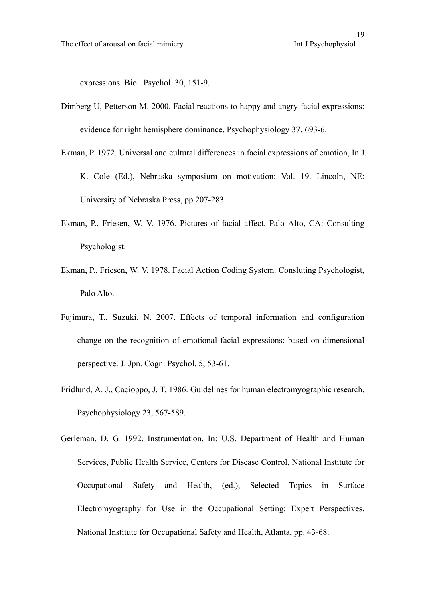expressions. Biol. Psychol. 30, 151-9.

- Dimberg U, Petterson M. 2000. Facial reactions to happy and angry facial expressions: evidence for right hemisphere dominance. Psychophysiology 37, 693-6.
- Ekman, P. 1972. Universal and cultural differences in facial expressions of emotion, In J. K. Cole (Ed.), Nebraska symposium on motivation: Vol. 19. Lincoln, NE: University of Nebraska Press, pp.207-283.
- Ekman, P., Friesen, W. V. 1976. Pictures of facial affect. Palo Alto, CA: Consulting Psychologist.
- Ekman, P., Friesen, W. V. 1978. Facial Action Coding System. Consluting Psychologist, Palo Alto.
- Fujimura, T., Suzuki, N. 2007. Effects of temporal information and configuration change on the recognition of emotional facial expressions: based on dimensional perspective. J. Jpn. Cogn. Psychol. 5, 53-61.
- Fridlund, A. J., Cacioppo, J. T. 1986. Guidelines for human electromyographic research. Psychophysiology 23, 567-589.
- Gerleman, D. G. 1992. Instrumentation. In: U.S. Department of Health and Human Services, Public Health Service, Centers for Disease Control, National Institute for Occupational Safety and Health, (ed.), Selected Topics in Surface Electromyography for Use in the Occupational Setting: Expert Perspectives, National Institute for Occupational Safety and Health, Atlanta, pp. 43-68.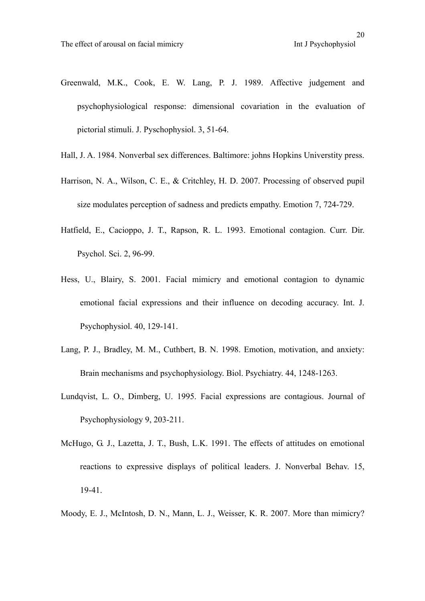pictorial stimuli. J. Pyschophysiol. 3, 51-64.

- Greenwald, M.K., Cook, E. W. Lang, P. J. 1989. Affective judgement and psychophysiological response: dimensional covariation in the evaluation of
- Hall, J. A. 1984. Nonverbal sex differences. Baltimore: johns Hopkins Universtity press.
- Harrison, N. A., Wilson, C. E., & Critchley, H. D. 2007. Processing of observed pupil size modulates perception of sadness and predicts empathy. Emotion 7, 724-729.
- Hatfield, E., Cacioppo, J. T., Rapson, R. L. 1993. Emotional contagion. Curr. Dir. Psychol. Sci. 2, 96-99.
- Hess, U., Blairy, S. 2001. Facial mimicry and emotional contagion to dynamic emotional facial expressions and their influence on decoding accuracy. Int. J. Psychophysiol. 40, 129-141.
- Lang, P. J., Bradley, M. M., Cuthbert, B. N. 1998. Emotion, motivation, and anxiety: Brain mechanisms and psychophysiology. Biol. Psychiatry. 44, 1248-1263.
- Lundqvist, L. O., Dimberg, U. 1995. Facial expressions are contagious. Journal of Psychophysiology 9, 203-211.
- McHugo, G. J., Lazetta, J. T., Bush, L.K. 1991. The effects of attitudes on emotional reactions to expressive displays of political leaders. J. Nonverbal Behav. 15, 19-41.
- Moody, E. J., McIntosh, D. N., Mann, L. J., Weisser, K. R. 2007. More than mimicry?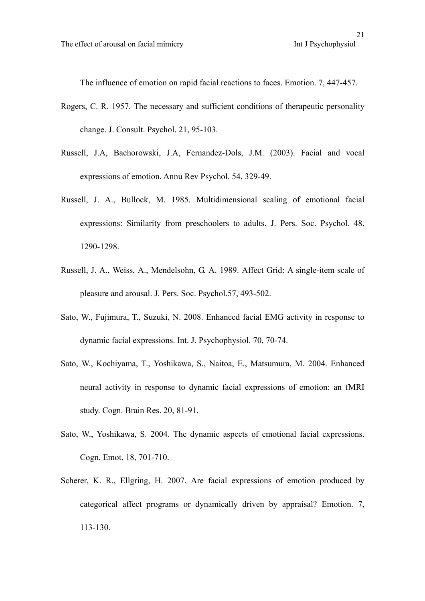The influence of emotion on rapid facial reactions to faces. Emotion. 7, 447-457.

- Rogers, C. R. 1957. The necessary and sufficient conditions of therapeutic personality change. J. Consult. Psychol. 21, 95-103.
- Russell, J.A, Bachorowski, J.A, Fernandez-Dols, J.M. (2003). Facial and vocal expressions of emotion. Annu Rev Psychol. 54, 329-49.
- Russell, J. A., Bullock, M. 1985. Multidimensional scaling of emotional facial expressions: Similarity from preschoolers to adults. J. Pers. Soc. Psychol. 48, 1290-1298.
- Russell, J. A., Weiss, A., Mendelsohn, G. A. 1989. Affect Grid: A single-item scale of pleasure and arousal. J. Pers. Soc. Psychol.57, 493-502.
- Sato, W., Fujimura, T., Suzuki, N. 2008. Enhanced facial EMG activity in response to dynamic facial expressions. Int. J. Psychophysiol. 70, 70-74.
- Sato, W., Kochiyama, T., Yoshikawa, S., Naitoa, E., Matsumura, M. 2004. Enhanced neural activity in response to dynamic facial expressions of emotion: an fMRI study. Cogn. Brain Res. 20, 81-91.
- Sato, W., Yoshikawa, S. 2004. The dynamic aspects of emotional facial expressions. Cogn. Emot. 18, 701-710.
- Scherer, K. R., Ellgring, H. 2007. Are facial expressions of emotion produced by categorical affect programs or dynamically driven by appraisal? Emotion. 7, 113-130.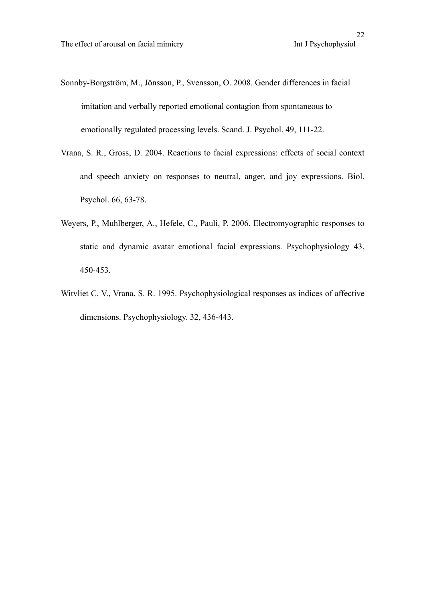- Sonnby-Borgström, M., Jönsson, P., Svensson, O. 2008. Gender differences in facial imitation and verbally reported emotional contagion from spontaneous to emotionally regulated processing levels. Scand. J. Psychol. 49, 111-22.
- Vrana, S. R., Gross, D. 2004. Reactions to facial expressions: effects of social context and speech anxiety on responses to neutral, anger, and joy expressions. Biol. Psychol. 66, 63-78.
- Weyers, P., Muhlberger, A., Hefele, C., Pauli, P. 2006. Electromyographic responses to static and dynamic avatar emotional facial expressions. Psychophysiology 43, 450-453.
- Witvliet C. V., Vrana, S. R. 1995. Psychophysiological responses as indices of affective dimensions. Psychophysiology. 32, 436-443.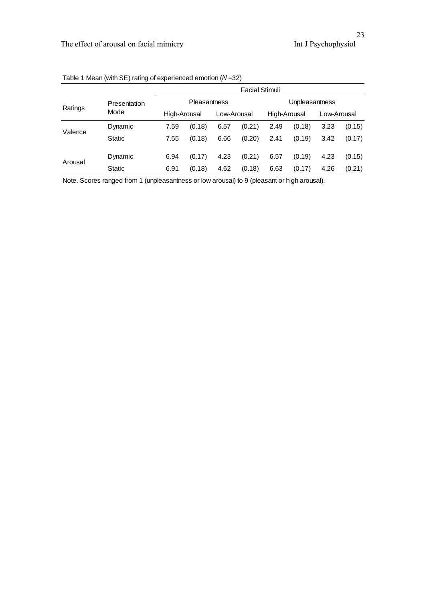|         | Presentation<br>Mode | <b>Facial Stimuli</b> |        |             |        |                |        |             |        |
|---------|----------------------|-----------------------|--------|-------------|--------|----------------|--------|-------------|--------|
| Ratings |                      | <b>Pleasantness</b>   |        |             |        | Unpleasantness |        |             |        |
|         |                      | High-Arousal          |        | Low-Arousal |        | High-Arousal   |        | Low-Arousal |        |
| Valence | Dynamic              | 7.59                  | (0.18) | 6.57        | (0.21) | 2.49           | (0.18) | 3.23        | (0.15) |
|         | Static               | 7.55                  | (0.18) | 6.66        | (0.20) | 2.41           | (0.19) | 3.42        | (0.17) |
| Arousal | Dynamic              | 6.94                  | (0.17) | 4.23        | (0.21) | 6.57           | (0.19) | 4.23        | (0.15) |
|         | Static               | 6.91                  | (0.18) | 4.62        | (0.18) | 6.63           | (0.17) | 4.26        | (0.21) |

Table 1 Mean (with SE) rating of experienced emotion (*N* =32)

Note. Scores ranged from 1 (unpleasantness or low arousal) to 9 (pleasant or high arousal).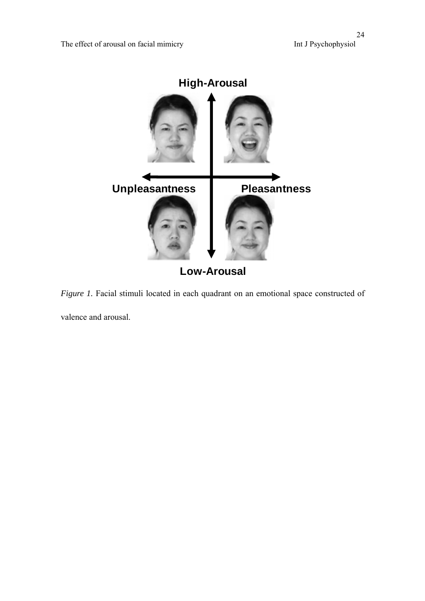

*Figure 1*. Facial stimuli located in each quadrant on an emotional space constructed of valence and arousal.